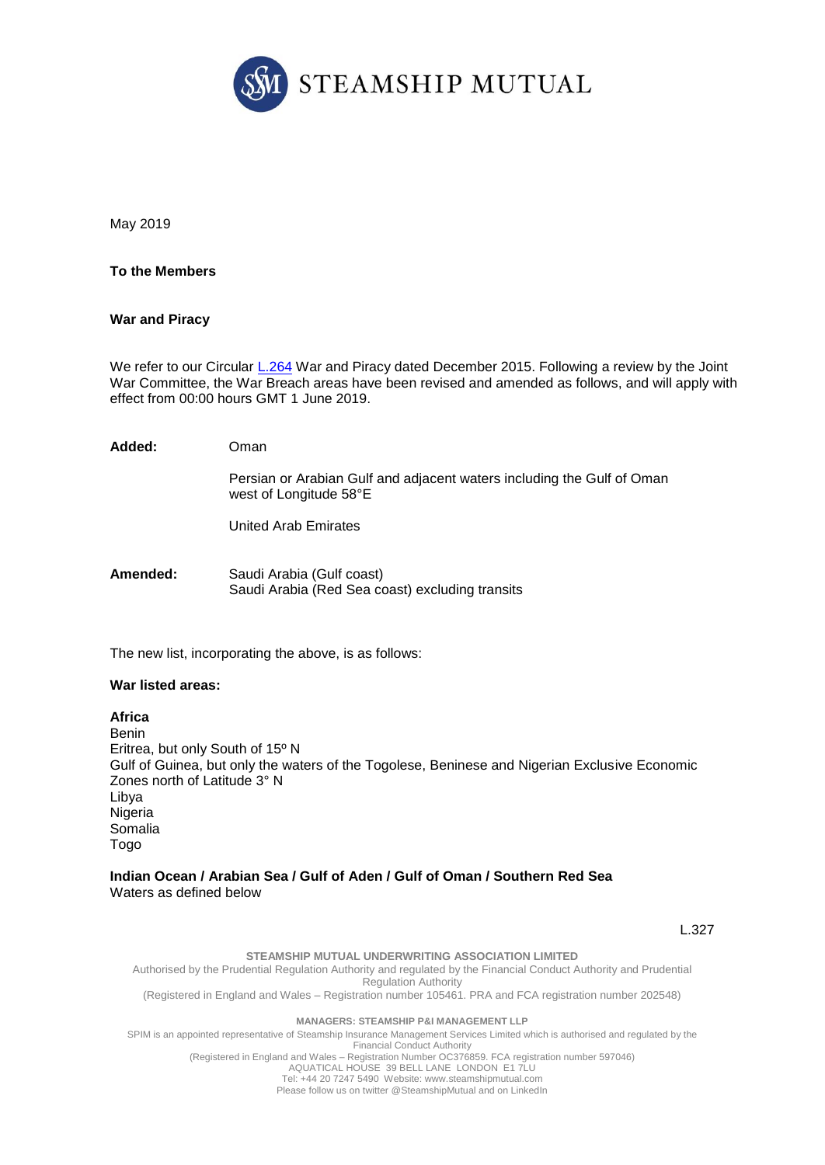

May 2019

### **To the Members**

### **War and Piracy**

We refer to our Circular [L.264](https://www.steamshipmutual.com/Circulars-London/L.264.pdf) War and Piracy dated December 2015. Following a review by the Joint War Committee, the War Breach areas have been revised and amended as follows, and will apply with effect from 00:00 hours GMT 1 June 2019.

| Added:   | Oman                                                                                             |
|----------|--------------------------------------------------------------------------------------------------|
|          | Persian or Arabian Gulf and adjacent waters including the Gulf of Oman<br>west of Longitude 58°E |
|          | United Arab Emirates                                                                             |
| Amended: | Saudi Arabia (Gulf coast)<br>Saudi Arabia (Red Sea coast) excluding transits                     |

The new list, incorporating the above, is as follows:

### **War listed areas:**

#### **Africa**

Benin Eritrea, but only South of 15º N Gulf of Guinea, but only the waters of the Togolese, Beninese and Nigerian Exclusive Economic Zones north of Latitude 3° N Libya Nigeria Somalia Togo

#### **Indian Ocean / Arabian Sea / Gulf of Aden / Gulf of Oman / Southern Red Sea**  Waters as defined below

L.327

**STEAMSHIP MUTUAL UNDERWRITING ASSOCIATION LIMITED**

Authorised by the Prudential Regulation Authority and regulated by the Financial Conduct Authority and Prudential Regulation Authority

(Registered in England and Wales – Registration number 105461. PRA and FCA registration number 202548)

#### **MANAGERS: STEAMSHIP P&I MANAGEMENT LLP**

SPIM is an appointed representative of Steamship Insurance Management Services Limited which is authorised and regulated by the Financial Conduct Authority (Registered in England and Wales – Registration Number OC376859. FCA registration number 597046)

AQUATICAL HOUSE 39 BELL LANE LONDON E1 7LU

Tel: +44 20 7247 5490 Website: [www.steamshipmutual.com](http://www.steamshipmutual.com/) Please follow us on twitter @SteamshipMutual and on LinkedIn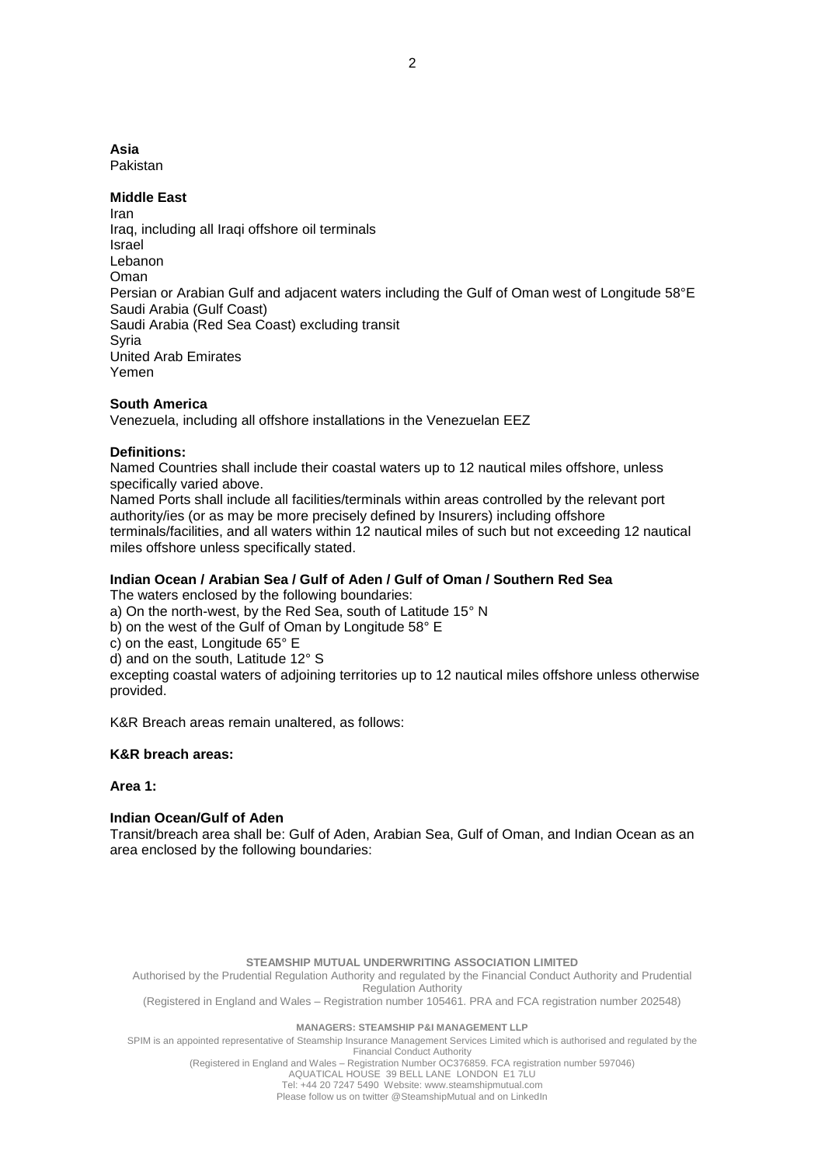# **Asia**

Pakistan

### **Middle East**

Iran Iraq, including all Iraqi offshore oil terminals Israel Lebanon Oman Persian or Arabian Gulf and adjacent waters including the Gulf of Oman west of Longitude 58°E Saudi Arabia (Gulf Coast) Saudi Arabia (Red Sea Coast) excluding transit Syria United Arab Emirates Yemen

# **South America**

Venezuela, including all offshore installations in the Venezuelan EEZ

# **Definitions:**

Named Countries shall include their coastal waters up to 12 nautical miles offshore, unless specifically varied above.

Named Ports shall include all facilities/terminals within areas controlled by the relevant port authority/ies (or as may be more precisely defined by Insurers) including offshore terminals/facilities, and all waters within 12 nautical miles of such but not exceeding 12 nautical miles offshore unless specifically stated.

# **Indian Ocean / Arabian Sea / Gulf of Aden / Gulf of Oman / Southern Red Sea**

The waters enclosed by the following boundaries:

a) On the north-west, by the Red Sea, south of Latitude 15° N

b) on the west of the Gulf of Oman by Longitude 58° E

c) on the east, Longitude 65° E

d) and on the south, Latitude 12° S

excepting coastal waters of adjoining territories up to 12 nautical miles offshore unless otherwise provided.

K&R Breach areas remain unaltered, as follows:

### **K&R breach areas:**

### **Area 1:**

# **Indian Ocean/Gulf of Aden**

Transit/breach area shall be: Gulf of Aden, Arabian Sea, Gulf of Oman, and Indian Ocean as an area enclosed by the following boundaries:

#### **STEAMSHIP MUTUAL UNDERWRITING ASSOCIATION LIMITED**

Authorised by the Prudential Regulation Authority and regulated by the Financial Conduct Authority and Prudential Regulation Authority

(Registered in England and Wales – Registration number 105461. PRA and FCA registration number 202548)

#### **MANAGERS: STEAMSHIP P&I MANAGEMENT LLP**

SPIM is an appointed representative of Steamship Insurance Management Services Limited which is authorised and regulated by the Financial Conduct Authority

(Registered in England and Wales – Registration Number OC376859. FCA registration number 597046)

AQUATICAL HOUSE 39 BELL LANE LONDON E1 7LU Tel: +44 20 7247 5490 Website: [www.steamshipmutual.com](http://www.steamshipmutual.com/)

Please follow us on twitter @SteamshipMutual and on LinkedIn